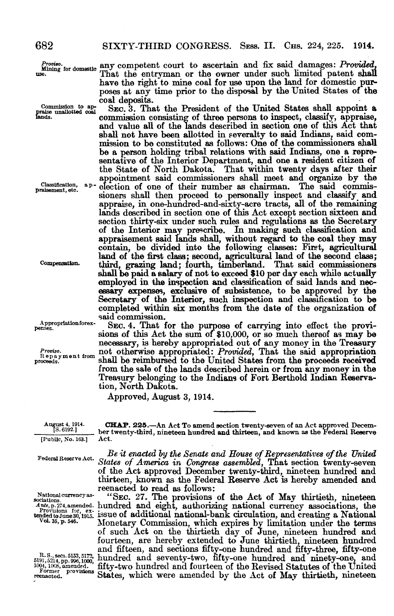use.

Commission to ap-praise unallotted coal lands.

Classification. praisement, etc.

Compensation.

Appropriationforeapens

Proviso. epayment from proceeds.

Proviso.<br>Mining for domestic any competent court to ascertain and fix said damages: *Provided*, use. That the entryman or the owner under such limited patent shall have the right to mine coal for use upon the land for domestic pur-have the right to mine coal for use upon the land for domestic purposes at any time prior to the disposal by the United States of the poses at any time prior to the disposal by the United States of the coal deposits. coal deposits.

 $\frac{\text{Commission to ap}}{\text{trained coal}}$  SEC. 3. That the President of the United States shall appoint a commission consisting of three persons to inspect, classify, appraise, and value all of the lands described in section one of this Act that and value all of the lands described in section one of this Act that shall not have been allotted in severalty to said Indians, said commission to be constituted as follows: One of the commissioners shall mission to be constituted as follows: One of the commissioners shall be a person holding tribal relations with said Indians, one a repre-be a person holding tribal relations with said Indians one a representative of the Interior Department, and one a resident citizen of sentative of the Interior Department, and one a resident citizen of the State of North Dakota. That within twenty days after their appointment said commissioners shall meet and organize by the appointment said commissioners shall meet and organize by the Classification, ap- election of one of their number as chairman. The said commissioners shall then proceed to personally inspect and classify and sioners shall then proceed to personally inspect and classify and appraise, in one-hundred-and-sixty-acre tracts, all of the remaining appraise, in one-hundred-and-sixty-acre tracts, all of the remaining lands described in section one of this Act except section sixteen and lands described in section one of this Act except section sixteen and section thirty-six under such rules and regulations as the Secretary of the Interior may prescribe. In making such classification and of the Interior may prescribe. In making such classification and appraisement said lands shall, without regard to the coal they may appraisement said lancls shall, without regard to the coal they may contain, be divided into the following classes: First, agricultural land of the first class; second, agricultural land of the second class; Compenaton third, grazing land; fourth, timberland. That said commissioners third, grazing land; fourth, timberland. That said commissioners shall be paid a salary of not to exceed \$10 per day each while actually employed in the inspection and classification of said lands and necessary expenses, exclusive of subsistence, to be approved by the Secretary of the Interior, such inspection and classification to be essary expenses, exclusive of subsistence, to be approved by the completed within six months from the date of the organization of completed within six months from the date of the organization of said commission. land of the first class; second, agricultural land of the second class; employed in the inspection and classification of said lands and nec-Secretary of the Interior, such inspection and classification to be

Appropriationforex- SEC. 4. That for the purpose of carrying into effect the provisions of this Act the sum of \$10,000, or so much thereof as may be sions of this Act the sum of \$10,000, or so much thereof as may be necessary, is hereby appropriated out of any money in the Treasury necessary, is hereby appropriated out of any money in the Treasury Proviso. nent from not otherwise appropriated: Provided, That the said appropriation proceeds. Shall be reimbursed to the United States from the proceeds received from the sale of the lands described herein or from any money in the Treasury belonging to the Indians of Fort Berthold Indian Reserva-Treasury belonging to the Indians of Fort Berthold Indian Reservation, North Dakota. tion, North Dakota. not otherwise appropriated: *Provided*, That the said appropriation

and fifteen, and sections fifty-one hundred and fifty-three, fifty-one

Approved, August 3, 1914. Approved, August 3, 1914.

| August 4, 1914.<br><b>IS. 6192.]</b>                                | <b>CHAP.</b> 225.—An Act To amend section twenty-seven of an Act approved Decem-<br>ber twenty-third, nineteen hundred and thirteen, and known as the Federal Reserve |
|---------------------------------------------------------------------|-----------------------------------------------------------------------------------------------------------------------------------------------------------------------|
| [Public, No. 163.]                                                  | Act.                                                                                                                                                                  |
| Federal Reserve Act.                                                | Be it enacted by the Senate and House of Representatives of the United<br>States of America in Congress assembled, That section twenty-seven                          |
|                                                                     | of the Act approved December twenty-third, nineteen hundred and<br>thirteen, known as the Federal Reserve Act is hereby amended and                                   |
|                                                                     | reenacted to read as follows:                                                                                                                                         |
| National currency as-<br>sociations.                                | "SEC. 27. The provisions of the Act of May thirtieth, nineteen                                                                                                        |
| Provisions for, ex-<br>tended to June 30, 1915.<br>Vol. 35, p. 546. | $A_{n(e, p, 274, \text{amended})}$ hundred and eight, authorizing national currency associations, the                                                                 |
|                                                                     | issue of additional national-bank circulation, and creating a National                                                                                                |
|                                                                     | Monetary Commission, which expires by limitation under the terms                                                                                                      |
|                                                                     | of such Act on the thirtieth day of June, nineteen hundred and                                                                                                        |
|                                                                     | fourteen, are hereby extended to June thirtieth, nineteen hundred                                                                                                     |

 $^{R.8}_{5191,5214,9285,5133,5172}_{1004,1005,2014,1006}$  and seventy-two, fifty-one hundred and ninety-one, and  $^{1004}_{1004,1005,214,928,4006}$ , fifty-two hundred and fourteen of the Revised Statutes of the United reenacted. Provisions States, which were amended by the Act of May thirtieth, nineteen 1004, 1008, amended. fifty-two hundred and fourteen of the Revised Statutes of the United<br>remacted. States, which were amended by the Act of May thirtiath ninataan